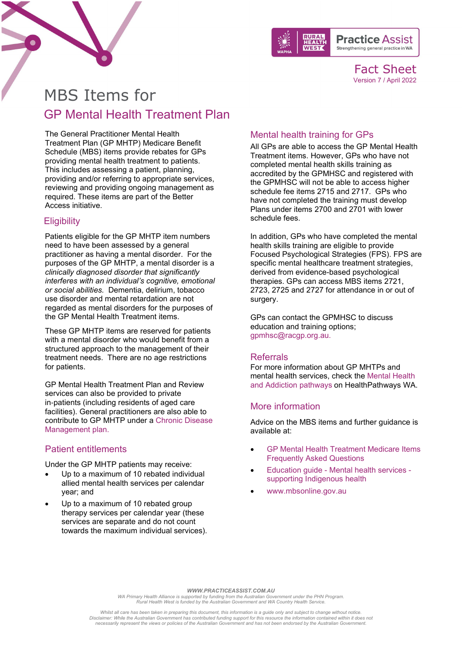



Fact Sheet Version 7 / April 2022

# MBS Items for GP Mental Health Treatment Plan

The General Practitioner Mental Health Treatment Plan (GP MHTP) Medicare Benefit Schedule (MBS) items provide rebates for GPs providing mental health treatment to patients. This includes assessing a patient, planning, providing and/or referring to appropriate services, reviewing and providing ongoing management as required. These items are part of the Better Access initiative.

# **Eligibility**

Patients eligible for the GP MHTP item numbers need to have been assessed by a general practitioner as having a mental disorder. For the purposes of the GP MHTP, a mental disorder is a *clinically diagnosed disorder that significantly interferes with an individual's cognitive, emotional or social abilities.* Dementia, delirium, tobacco use disorder and mental retardation are not regarded as mental disorders for the purposes of the GP Mental Health Treatment items.

These GP MHTP items are reserved for patients with a mental disorder who would benefit from a structured approach to the management of their treatment needs. There are no age restrictions for patients.

GP Mental Health Treatment Plan and Review services can also be provided to private in‑patients (including residents of aged care facilities). General practitioners are also able to contribute to GP MHTP under a [Chronic Disease](https://www.practiceassist.com.au/PracticeAssist/media/ResourceLibrary/Medicare%20Benefits%20Schedule/MBS-items-for-Chronic-Disease-Management-200604.pdf)  [Management plan.](https://www.practiceassist.com.au/PracticeAssist/media/ResourceLibrary/Medicare%20Benefits%20Schedule/MBS-items-for-Chronic-Disease-Management-200604.pdf)

## Patient entitlements

Under the GP MHTP patients may receive:

- Up to a maximum of 10 rebated individual allied mental health services per calendar year; and
- Up to a maximum of 10 rebated group therapy services per calendar year (these services are separate and do not count towards the maximum individual services).

# Mental health training for GPs

All GPs are able to access the GP Mental Health Treatment items. However, GPs who have not completed mental health skills training as accredited by the GPMHSC and registered with the GPMHSC will not be able to access higher schedule fee items 2715 and 2717. GPs who have not completed the training must develop Plans under items 2700 and 2701 with lower schedule fees.

In addition, GPs who have completed the mental health skills training are eligible to provide Focused Psychological Strategies (FPS). FPS are specific mental healthcare treatment strategies, derived from evidence-based psychological therapies. GPs can access MBS items 2721, 2723, 2725 and 2727 for attendance in or out of surgery.

GPs can contact the GPMHSC to discuss education and training options; [gpmhsc@racgp.org.au.](mailto:gpmhsc@racgp.org.au)

#### Referrals

For more information about GP MHTPs and mental health services, check the [Mental Health](https://wa.healthpathways.org.au/index.htm?62063.htm)  [and Addiction pathways](https://wa.healthpathways.org.au/index.htm?62063.htm) on HealthPathways WA.

#### More information

Advice on the MBS items and further guidance is available at:

- [GP Mental Health Treatment Medicare Items](http://www.health.gov.au/internet/main/publishing.nsf/content/pacd-gp-mental-health-care-pdf-qa)  [Frequently Asked Questions](http://www.health.gov.au/internet/main/publishing.nsf/content/pacd-gp-mental-health-care-pdf-qa)
- Education guide [Mental health services](http://www.humanservices.gov.au/health-professionals/enablers/education-guide-mental-health-services-supporting-indigenous-health)  [supporting Indigenous health](http://www.humanservices.gov.au/health-professionals/enablers/education-guide-mental-health-services-supporting-indigenous-health)
- [www.mbsonline.gov.au](http://www.mbsonline.gov.au/)

#### *WWW.PRACTICEASSIST.COM.AU*

WA Primary Health Alliance is supported by funding from the Australian Government under the PHN Program.<br>Rural Health West is funded by the Australian Government and WA Country Health Service.

*Whilst all care has been taken in preparing this document, this information is a guide only and subject to change without notice.* Disclaimer: While the Australian Government has contributed funding support for this resource the information contained within it does noi<br>necessarily represent the views or policies of the Australian Government and has no